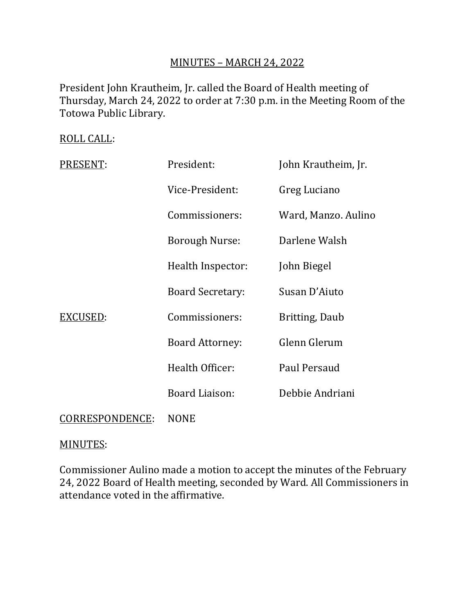# MINUTES – MARCH 24, 2022

President John Krautheim, Jr. called the Board of Health meeting of Thursday, March 24, 2022 to order at 7:30 p.m. in the Meeting Room of the Totowa Public Library.

ROLL CALL:

| PRESENT:        | President:              | John Krautheim, Jr.   |
|-----------------|-------------------------|-----------------------|
|                 | Vice-President:         | Greg Luciano          |
|                 | Commissioners:          | Ward, Manzo. Aulino   |
|                 | <b>Borough Nurse:</b>   | Darlene Walsh         |
|                 | Health Inspector:       | John Biegel           |
|                 | <b>Board Secretary:</b> | Susan D'Aiuto         |
| EXCUSED:        | Commissioners:          | <b>Britting, Daub</b> |
|                 | <b>Board Attorney:</b>  | Glenn Glerum          |
|                 | Health Officer:         | Paul Persaud          |
|                 | <b>Board Liaison:</b>   | Debbie Andriani       |
| CORRESPONDENCE: | <b>NONE</b>             |                       |

#### MINUTES:

Commissioner Aulino made a motion to accept the minutes of the February 24, 2022 Board of Health meeting, seconded by Ward. All Commissioners in attendance voted in the affirmative.